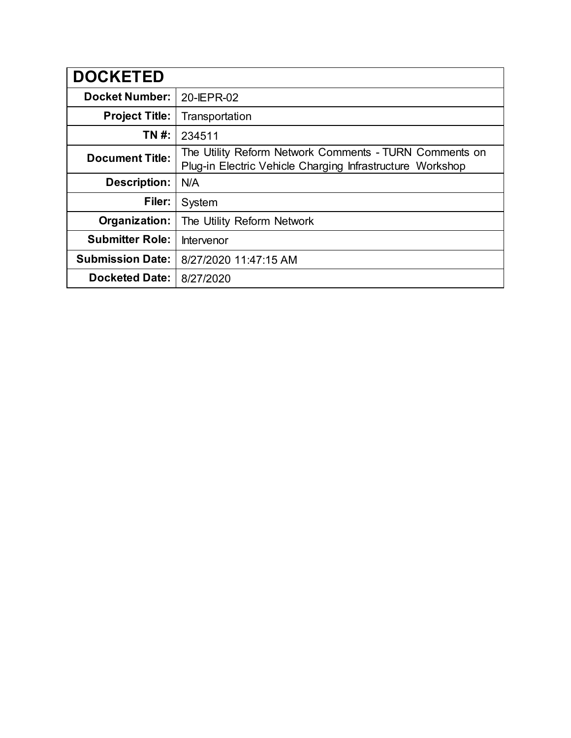| <b>DOCKETED</b>         |                                                                                                                     |
|-------------------------|---------------------------------------------------------------------------------------------------------------------|
| <b>Docket Number:</b>   | 20-IEPR-02                                                                                                          |
| <b>Project Title:</b>   | Transportation                                                                                                      |
| <b>TN#:</b>             | 234511                                                                                                              |
| <b>Document Title:</b>  | The Utility Reform Network Comments - TURN Comments on<br>Plug-in Electric Vehicle Charging Infrastructure Workshop |
| <b>Description:</b>     | N/A                                                                                                                 |
| Filer:                  | System                                                                                                              |
| Organization:           | The Utility Reform Network                                                                                          |
| <b>Submitter Role:</b>  | Intervenor                                                                                                          |
| <b>Submission Date:</b> | 8/27/2020 11:47:15 AM                                                                                               |
| <b>Docketed Date:</b>   | 8/27/2020                                                                                                           |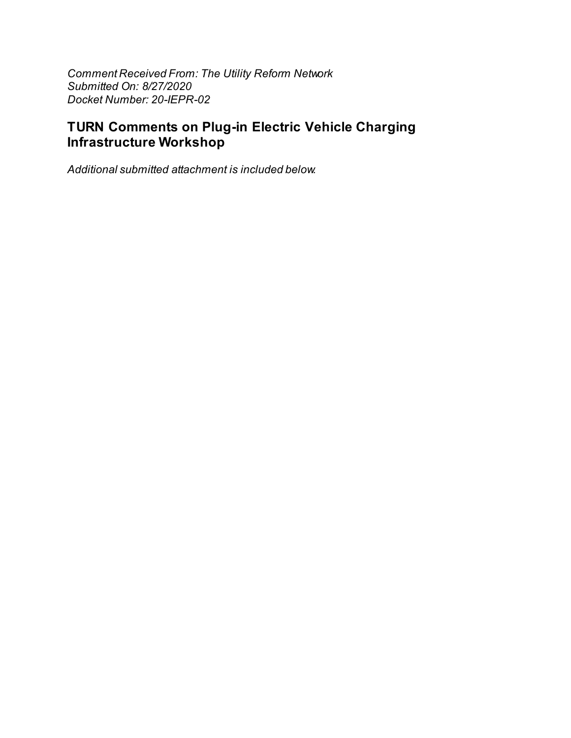*Comment Received From: The Utility Reform Network Submitted On: 8/27/2020 Docket Number: 20-IEPR-02*

# **TURN Comments on Plug-in Electric Vehicle Charging Infrastructure Workshop**

*Additional submitted attachment is included below.*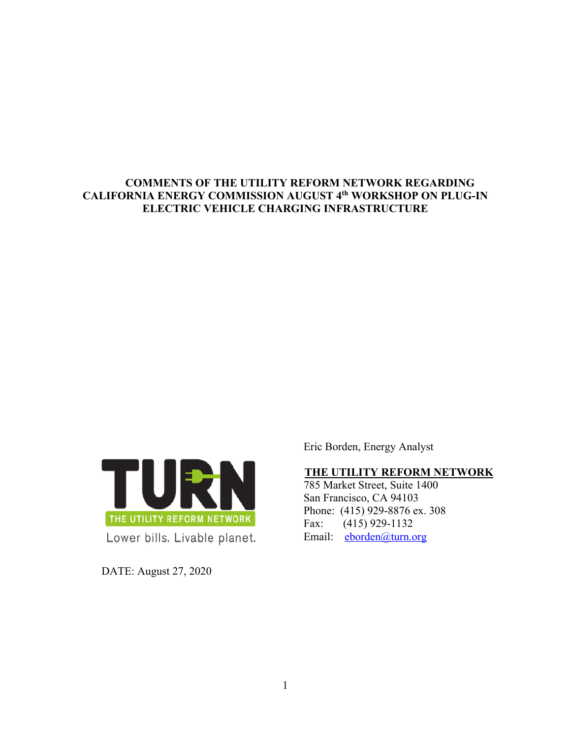## **COMMENTS OF THE UTILITY REFORM NETWORK REGARDING CALIFORNIA ENERGY COMMISSION AUGUST 4th WORKSHOP ON PLUG-IN ELECTRIC VEHICLE CHARGING INFRASTRUCTURE**



DATE: August 27, 2020

Eric Borden, Energy Analyst

## **THE UTILITY REFORM NETWORK**

785 Market Street, Suite 1400 San Francisco, CA 94103 Phone: (415) 929-8876 ex. 308 Fax: (415) 929-1132 Email: eborden@turn.org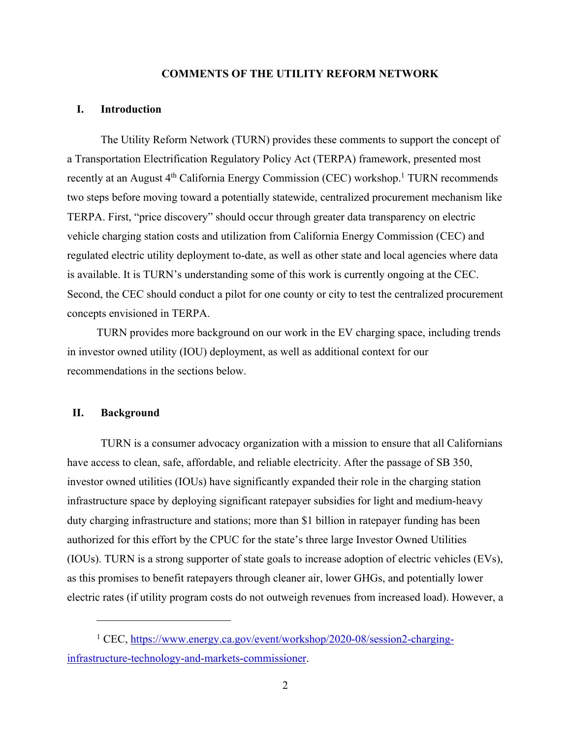#### **COMMENTS OF THE UTILITY REFORM NETWORK**

### **I. Introduction**

The Utility Reform Network (TURN) provides these comments to support the concept of a Transportation Electrification Regulatory Policy Act (TERPA) framework, presented most recently at an August 4<sup>th</sup> California Energy Commission (CEC) workshop.<sup>1</sup> TURN recommends two steps before moving toward a potentially statewide, centralized procurement mechanism like TERPA. First, "price discovery" should occur through greater data transparency on electric vehicle charging station costs and utilization from California Energy Commission (CEC) and regulated electric utility deployment to-date, as well as other state and local agencies where data is available. It is TURN's understanding some of this work is currently ongoing at the CEC. Second, the CEC should conduct a pilot for one county or city to test the centralized procurement concepts envisioned in TERPA.

TURN provides more background on our work in the EV charging space, including trends in investor owned utility (IOU) deployment, as well as additional context for our recommendations in the sections below.

#### **II. Background**

TURN is a consumer advocacy organization with a mission to ensure that all Californians have access to clean, safe, affordable, and reliable electricity. After the passage of SB 350, investor owned utilities (IOUs) have significantly expanded their role in the charging station infrastructure space by deploying significant ratepayer subsidies for light and medium-heavy duty charging infrastructure and stations; more than \$1 billion in ratepayer funding has been authorized for this effort by the CPUC for the state's three large Investor Owned Utilities (IOUs). TURN is a strong supporter of state goals to increase adoption of electric vehicles (EVs), as this promises to benefit ratepayers through cleaner air, lower GHGs, and potentially lower electric rates (if utility program costs do not outweigh revenues from increased load). However, a

<sup>&</sup>lt;sup>1</sup> CEC, https://www.energy.ca.gov/event/workshop/2020-08/session2-charginginfrastructure-technology-and-markets-commissioner.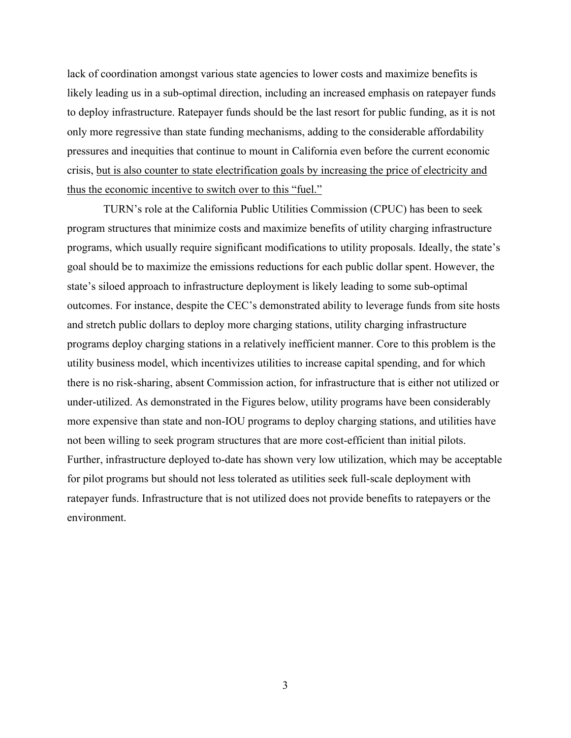lack of coordination amongst various state agencies to lower costs and maximize benefits is likely leading us in a sub-optimal direction, including an increased emphasis on ratepayer funds to deploy infrastructure. Ratepayer funds should be the last resort for public funding, as it is not only more regressive than state funding mechanisms, adding to the considerable affordability pressures and inequities that continue to mount in California even before the current economic crisis, but is also counter to state electrification goals by increasing the price of electricity and thus the economic incentive to switch over to this "fuel."

TURN's role at the California Public Utilities Commission (CPUC) has been to seek program structures that minimize costs and maximize benefits of utility charging infrastructure programs, which usually require significant modifications to utility proposals. Ideally, the state's goal should be to maximize the emissions reductions for each public dollar spent. However, the state's siloed approach to infrastructure deployment is likely leading to some sub-optimal outcomes. For instance, despite the CEC's demonstrated ability to leverage funds from site hosts and stretch public dollars to deploy more charging stations, utility charging infrastructure programs deploy charging stations in a relatively inefficient manner. Core to this problem is the utility business model, which incentivizes utilities to increase capital spending, and for which there is no risk-sharing, absent Commission action, for infrastructure that is either not utilized or under-utilized. As demonstrated in the Figures below, utility programs have been considerably more expensive than state and non-IOU programs to deploy charging stations, and utilities have not been willing to seek program structures that are more cost-efficient than initial pilots. Further, infrastructure deployed to-date has shown very low utilization, which may be acceptable for pilot programs but should not less tolerated as utilities seek full-scale deployment with ratepayer funds. Infrastructure that is not utilized does not provide benefits to ratepayers or the environment.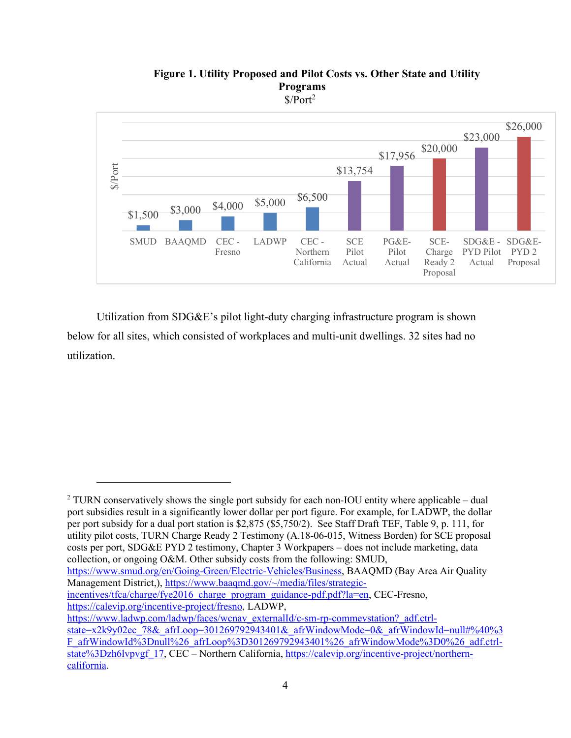

**Figure 1. Utility Proposed and Pilot Costs vs. Other State and Utility Programs**  $$/Port<sup>2</sup>$ 

Utilization from SDG&E's pilot light-duty charging infrastructure program is shown below for all sites, which consisted of workplaces and multi-unit dwellings. 32 sites had no utilization.

<sup>2</sup> TURN conservatively shows the single port subsidy for each non-IOU entity where applicable – dual port subsidies result in a significantly lower dollar per port figure. For example, for LADWP, the dollar per port subsidy for a dual port station is \$2,875 (\$5,750/2). See Staff Draft TEF, Table 9, p. 111, for utility pilot costs, TURN Charge Ready 2 Testimony (A.18-06-015, Witness Borden) for SCE proposal costs per port, SDG&E PYD 2 testimony, Chapter 3 Workpapers – does not include marketing, data collection, or ongoing O&M. Other subsidy costs from the following: SMUD,

https://www.smud.org/en/Going-Green/Electric-Vehicles/Business, BAAQMD (Bay Area Air Quality Management District,), https://www.baaqmd.gov/~/media/files/strategic-

incentives/tfca/charge/fye2016\_charge\_program\_guidance-pdf.pdf?la=en, CEC-Fresno, https://calevip.org/incentive-project/fresno, LADWP,

https://www.ladwp.com/ladwp/faces/wcnav\_externalId/c-sm-rp-commevstation?\_adf.ctrl-

state=x2k9y02ec\_78&\_afrLoop=301269792943401&\_afrWindowMode=0&\_afrWindowId=null#%40%3 F\_afrWindowId%3Dnull%26\_afrLoop%3D301269792943401%26\_afrWindowMode%3D0%26\_adf.ctrlstate%3Dzh6lvpvgf\_17, CEC – Northern California, https://calevip.org/incentive-project/northerncalifornia.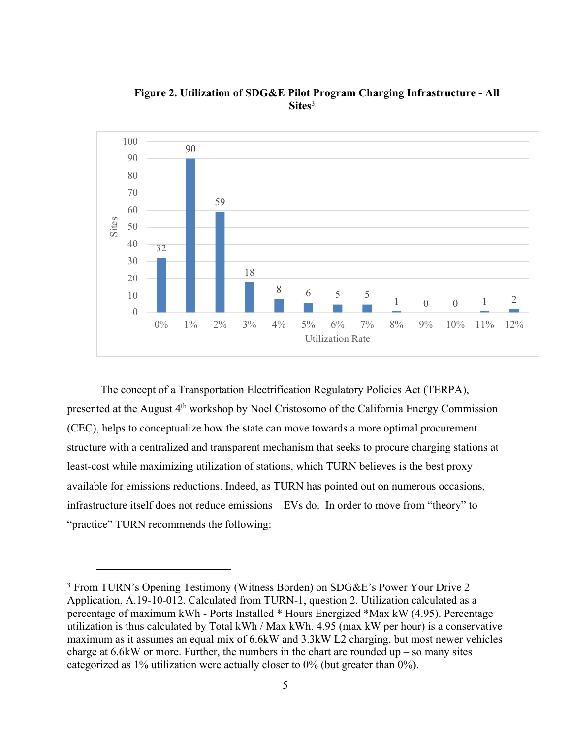

**Figure 2. Utilization of SDG&E Pilot Program Charging Infrastructure - All Sites**<sup>3</sup>

The concept of a Transportation Electrification Regulatory Policies Act (TERPA), presented at the August 4<sup>th</sup> workshop by Noel Cristosomo of the California Energy Commission (CEC), helps to conceptualize how the state can move towards a more optimal procurement structure with a centralized and transparent mechanism that seeks to procure charging stations at least-cost while maximizing utilization of stations, which TURN believes is the best proxy available for emissions reductions. Indeed, as TURN has pointed out on numerous occasions, infrastructure itself does not reduce emissions – EVs do. In order to move from "theory" to "practice" TURN recommends the following:

<sup>3</sup> From TURN's Opening Testimony (Witness Borden) on SDG&E's Power Your Drive 2 Application, A.19-10-012. Calculated from TURN-1, question 2. Utilization calculated as a percentage of maximum kWh - Ports Installed \* Hours Energized \*Max kW (4.95). Percentage utilization is thus calculated by Total kWh / Max kWh. 4.95 (max kW per hour) is a conservative maximum as it assumes an equal mix of 6.6kW and 3.3kW L2 charging, but most newer vehicles charge at  $6.6$ kW or more. Further, the numbers in the chart are rounded up – so many sites categorized as 1% utilization were actually closer to 0% (but greater than 0%).